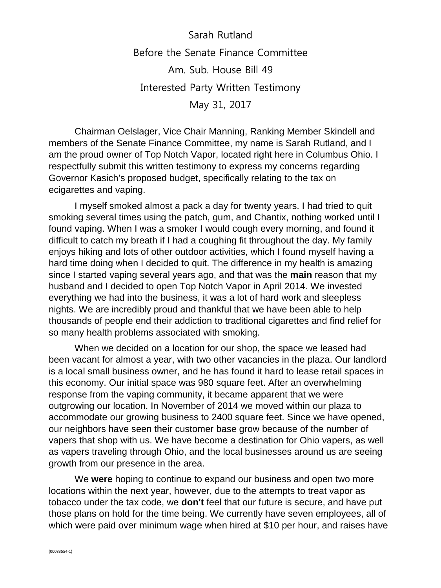Sarah Rutland Before the Senate Finance Committee Am. Sub. House Bill 49 Interested Party Written Testimony May 31, 2017

Chairman Oelslager, Vice Chair Manning, Ranking Member Skindell and members of the Senate Finance Committee, my name is Sarah Rutland, and I am the proud owner of Top Notch Vapor, located right here in Columbus Ohio. I respectfully submit this written testimony to express my concerns regarding Governor Kasich's proposed budget, specifically relating to the tax on ecigarettes and vaping.

I myself smoked almost a pack a day for twenty years. I had tried to quit smoking several times using the patch, gum, and Chantix, nothing worked until I found vaping. When I was a smoker I would cough every morning, and found it difficult to catch my breath if I had a coughing fit throughout the day. My family enjoys hiking and lots of other outdoor activities, which I found myself having a hard time doing when I decided to quit. The difference in my health is amazing since I started vaping several years ago, and that was the **main** reason that my husband and I decided to open Top Notch Vapor in April 2014. We invested everything we had into the business, it was a lot of hard work and sleepless nights. We are incredibly proud and thankful that we have been able to help thousands of people end their addiction to traditional cigarettes and find relief for so many health problems associated with smoking.

When we decided on a location for our shop, the space we leased had been vacant for almost a year, with two other vacancies in the plaza. Our landlord is a local small business owner, and he has found it hard to lease retail spaces in this economy. Our initial space was 980 square feet. After an overwhelming response from the vaping community, it became apparent that we were outgrowing our location. In November of 2014 we moved within our plaza to accommodate our growing business to 2400 square feet. Since we have opened, our neighbors have seen their customer base grow because of the number of vapers that shop with us. We have become a destination for Ohio vapers, as well as vapers traveling through Ohio, and the local businesses around us are seeing growth from our presence in the area.

We **were** hoping to continue to expand our business and open two more locations within the next year, however, due to the attempts to treat vapor as tobacco under the tax code, we **don't** feel that our future is secure, and have put those plans on hold for the time being. We currently have seven employees, all of which were paid over minimum wage when hired at \$10 per hour, and raises have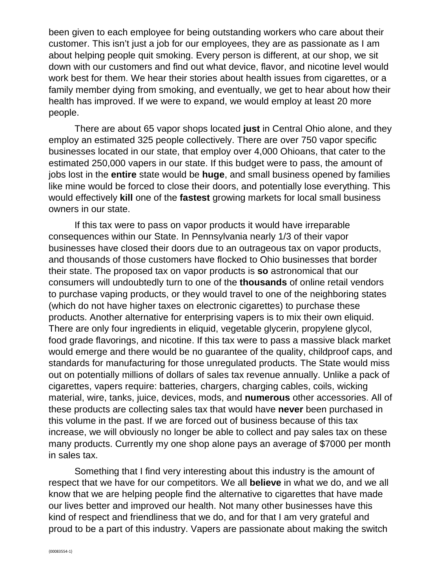been given to each employee for being outstanding workers who care about their customer. This isn't just a job for our employees, they are as passionate as I am about helping people quit smoking. Every person is different, at our shop, we sit down with our customers and find out what device, flavor, and nicotine level would work best for them. We hear their stories about health issues from cigarettes, or a family member dying from smoking, and eventually, we get to hear about how their health has improved. If we were to expand, we would employ at least 20 more people.

There are about 65 vapor shops located **just** in Central Ohio alone, and they employ an estimated 325 people collectively. There are over 750 vapor specific businesses located in our state, that employ over 4,000 Ohioans, that cater to the estimated 250,000 vapers in our state. If this budget were to pass, the amount of jobs lost in the **entire** state would be **huge**, and small business opened by families like mine would be forced to close their doors, and potentially lose everything. This would effectively **kill** one of the **fastest** growing markets for local small business owners in our state.

If this tax were to pass on vapor products it would have irreparable consequences within our State. In Pennsylvania nearly 1/3 of their vapor businesses have closed their doors due to an outrageous tax on vapor products, and thousands of those customers have flocked to Ohio businesses that border their state. The proposed tax on vapor products is **so** astronomical that our consumers will undoubtedly turn to one of the **thousands** of online retail vendors to purchase vaping products, or they would travel to one of the neighboring states (which do not have higher taxes on electronic cigarettes) to purchase these products. Another alternative for enterprising vapers is to mix their own eliquid. There are only four ingredients in eliquid, vegetable glycerin, propylene glycol, food grade flavorings, and nicotine. If this tax were to pass a massive black market would emerge and there would be no guarantee of the quality, childproof caps, and standards for manufacturing for those unregulated products. The State would miss out on potentially millions of dollars of sales tax revenue annually. Unlike a pack of cigarettes, vapers require: batteries, chargers, charging cables, coils, wicking material, wire, tanks, juice, devices, mods, and **numerous** other accessories. All of these products are collecting sales tax that would have **never** been purchased in this volume in the past. If we are forced out of business because of this tax increase, we will obviously no longer be able to collect and pay sales tax on these many products. Currently my one shop alone pays an average of \$7000 per month in sales tax.

Something that I find very interesting about this industry is the amount of respect that we have for our competitors. We all **believe** in what we do, and we all know that we are helping people find the alternative to cigarettes that have made our lives better and improved our health. Not many other businesses have this kind of respect and friendliness that we do, and for that I am very grateful and proud to be a part of this industry. Vapers are passionate about making the switch